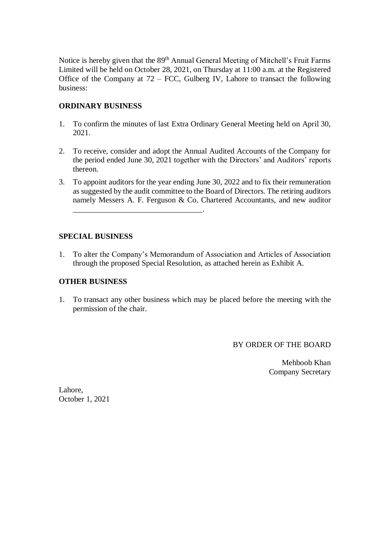Notice is hereby given that the 89<sup>th</sup> Annual General Meeting of Mitchell's Fruit Farms Limited will be held on October 28, 2021, on Thursday at 11:00 a.m. at the Registered Office of the Company at  $72 - FCC$ , Gulberg IV, Lahore to transact the following business:

## **ORDINARY BUSINESS**

- 1. To confirm the minutes of last Extra Ordinary General Meeting held on April 30, 2021.
- 2. To receive, consider and adopt the Annual Audited Accounts of the Company for the period ended June 30, 2021 together with the Directors' and Auditors' reports thereon.
- 3. To appoint auditors for the year ending June 30, 2022 and to fix their remuneration as suggested by the audit committee to the Board of Directors. The retiring auditors namely Messers A. F. Ferguson & Co. Chartered Accountants, and new auditor \_\_\_\_\_\_\_\_\_\_\_\_\_\_\_\_\_\_\_\_\_\_\_\_\_\_\_\_\_\_\_\_\_.

### **SPECIAL BUSINESS**

1. To alter the Company's Memorandum of Association and Articles of Association through the proposed Special Resolution, as attached herein as Exhibit A.

# **OTHER BUSINESS**

1. To transact any other business which may be placed before the meeting with the permission of the chair.

BY ORDER OF THE BOARD

Mehboob Khan Company Secretary

Lahore, October 1, 2021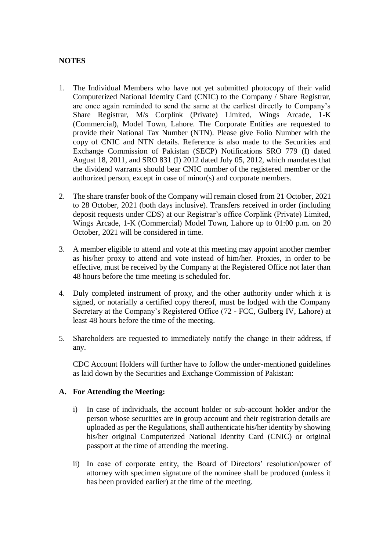# **NOTES**

- 1. The Individual Members who have not yet submitted photocopy of their valid Computerized National Identity Card (CNIC) to the Company / Share Registrar, are once again reminded to send the same at the earliest directly to Company's Share Registrar, M/s Corplink (Private) Limited, Wings Arcade, 1-K (Commercial), Model Town, Lahore. The Corporate Entities are requested to provide their National Tax Number (NTN). Please give Folio Number with the copy of CNIC and NTN details. Reference is also made to the Securities and Exchange Commission of Pakistan (SECP) Notifications SRO 779 (I) dated August 18, 2011, and SRO 831 (I) 2012 dated July 05, 2012, which mandates that the dividend warrants should bear CNIC number of the registered member or the authorized person, except in case of minor(s) and corporate members.
- 2. The share transfer book of the Company will remain closed from 21 October, 2021 to 28 October, 2021 (both days inclusive). Transfers received in order (including deposit requests under CDS) at our Registrar's office Corplink (Private) Limited, Wings Arcade, 1-K (Commercial) Model Town, Lahore up to 01:00 p.m. on 20 October, 2021 will be considered in time.
- 3. A member eligible to attend and vote at this meeting may appoint another member as his/her proxy to attend and vote instead of him/her. Proxies, in order to be effective, must be received by the Company at the Registered Office not later than 48 hours before the time meeting is scheduled for.
- 4. Duly completed instrument of proxy, and the other authority under which it is signed, or notarially a certified copy thereof, must be lodged with the Company Secretary at the Company's Registered Office (72 - FCC, Gulberg IV, Lahore) at least 48 hours before the time of the meeting.
- 5. Shareholders are requested to immediately notify the change in their address, if any.

CDC Account Holders will further have to follow the under-mentioned guidelines as laid down by the Securities and Exchange Commission of Pakistan:

#### **A. For Attending the Meeting:**

- i) In case of individuals, the account holder or sub-account holder and/or the person whose securities are in group account and their registration details are uploaded as per the Regulations, shall authenticate his/her identity by showing his/her original Computerized National Identity Card (CNIC) or original passport at the time of attending the meeting.
- ii) In case of corporate entity, the Board of Directors' resolution/power of attorney with specimen signature of the nominee shall be produced (unless it has been provided earlier) at the time of the meeting.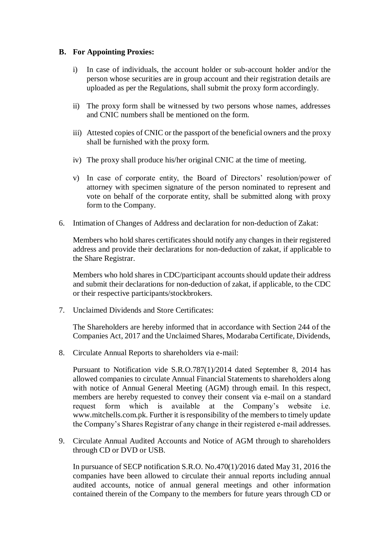### **B. For Appointing Proxies:**

- i) In case of individuals, the account holder or sub-account holder and/or the person whose securities are in group account and their registration details are uploaded as per the Regulations, shall submit the proxy form accordingly.
- ii) The proxy form shall be witnessed by two persons whose names, addresses and CNIC numbers shall be mentioned on the form.
- iii) Attested copies of CNIC or the passport of the beneficial owners and the proxy shall be furnished with the proxy form.
- iv) The proxy shall produce his/her original CNIC at the time of meeting.
- v) In case of corporate entity, the Board of Directors' resolution/power of attorney with specimen signature of the person nominated to represent and vote on behalf of the corporate entity, shall be submitted along with proxy form to the Company.
- 6. Intimation of Changes of Address and declaration for non-deduction of Zakat:

Members who hold shares certificates should notify any changes in their registered address and provide their declarations for non-deduction of zakat, if applicable to the Share Registrar.

Members who hold shares in CDC/participant accounts should update their address and submit their declarations for non-deduction of zakat, if applicable, to the CDC or their respective participants/stockbrokers.

7. Unclaimed Dividends and Store Certificates:

The Shareholders are hereby informed that in accordance with Section 244 of the Companies Act, 2017 and the Unclaimed Shares, Modaraba Certificate, Dividends,

8. Circulate Annual Reports to shareholders via e-mail:

Pursuant to Notification vide S.R.O.787(1)/2014 dated September 8, 2014 has allowed companies to circulate Annual Financial Statements to shareholders along with notice of Annual General Meeting (AGM) through email. In this respect, members are hereby requested to convey their consent via e-mail on a standard request form which is available at the Company's website i.e. www.mitchells.com.pk. Further it is responsibility of the members to timely update the Company's Shares Registrar of any change in their registered e-mail addresses.

9. Circulate Annual Audited Accounts and Notice of AGM through to shareholders through CD or DVD or USB.

In pursuance of SECP notification S.R.O. No.470(1)/2016 dated May 31, 2016 the companies have been allowed to circulate their annual reports including annual audited accounts, notice of annual general meetings and other information contained therein of the Company to the members for future years through CD or